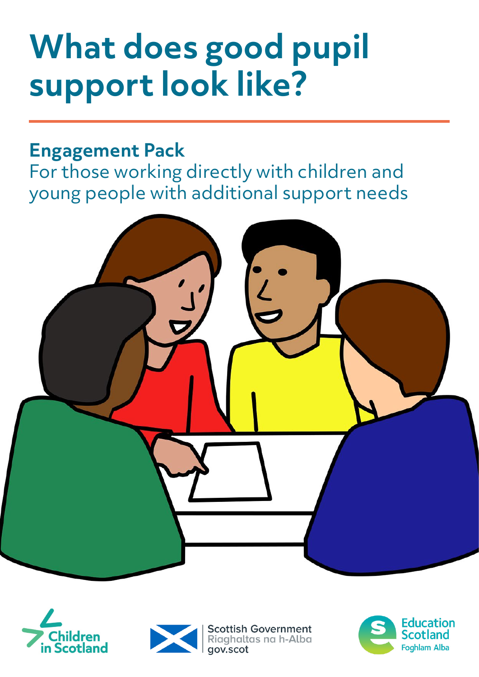# **What does good pupil support look like?**

# **Engagement Pack**

For those working directly with children and young people with additional support needs







**Scottish Government** Riaghaltas na h-Alba aov.scot

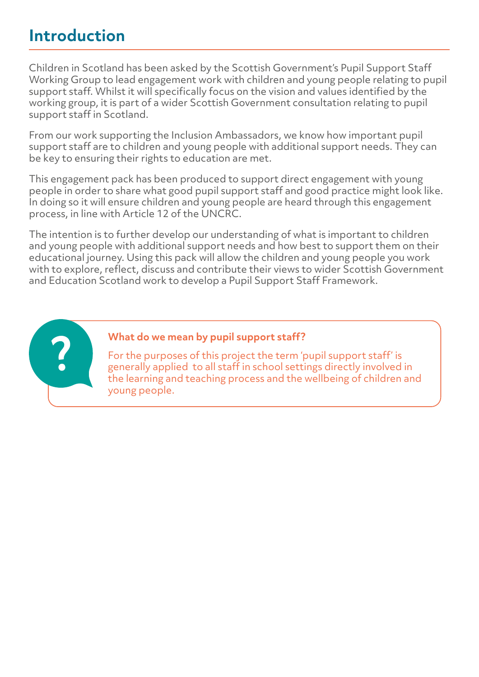# **Introduction**

Children in Scotland has been asked by the Scottish Government's Pupil Support Staff Working Group to lead engagement work with children and young people relating to pupil support staff. Whilst it will specifically focus on the vision and values identified by the working group, it is part of a wider Scottish Government consultation relating to pupil support staff in Scotland.

From our work supporting the Inclusion Ambassadors, we know how important pupil support staff are to children and young people with additional support needs. They can be key to ensuring their rights to education are met.

This engagement pack has been produced to support direct engagement with young people in order to share what good pupil support staff and good practice might look like. In doing so it will ensure children and young people are heard through this engagement process, in line with Article 12 of the UNCRC.

The intention is to further develop our understanding of what is important to children and young people with additional support needs and how best to support them on their educational journey. Using this pack will allow the children and young people you work with to explore, reflect, discuss and contribute their views to wider Scottish Government and Education Scotland work to develop a Pupil Support Staff Framework.



#### **What do we mean by pupil support staff?**

For the purposes of this project the term 'pupil support staff' is generally applied to all staff in school settings directly involved in the learning and teaching process and the wellbeing of children and young people.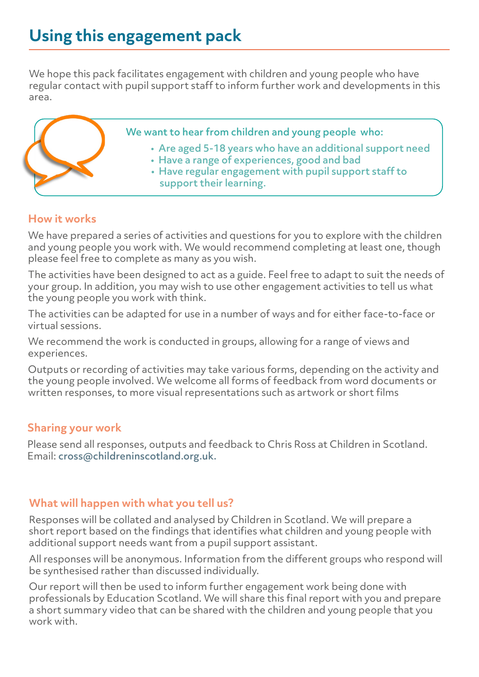# **Using this engagement pack**

We hope this pack facilitates engagement with children and young people who have regular contact with pupil support staff to inform further work and developments in this area.

We want to hear from children and young people who:

- Are aged 5-18 years who have an additional support need
- Have a range of experiences, good and bad
- Have regular engagement with pupil support staff to support their learning.

#### **How it works**

We have prepared a series of activities and questions for you to explore with the children and young people you work with. We would recommend completing at least one, though please feel free to complete as many as you wish.

The activities have been designed to act as a guide. Feel free to adapt to suit the needs of your group. In addition, you may wish to use other engagement activities to tell us what the young people you work with think.

The activities can be adapted for use in a number of ways and for either face-to-face or virtual sessions.

We recommend the work is conducted in groups, allowing for a range of views and experiences.

Outputs or recording of activities may take various forms, depending on the activity and the young people involved. We welcome all forms of feedback from word documents or written responses, to more visual representations such as artwork or short films

#### **Sharing your work**

Please send all responses, outputs and feedback to Chris Ross at Children in Scotland. Email: cross@childreninscotland.org.uk.

#### **What will happen with what you tell us?**

Responses will be collated and analysed by Children in Scotland. We will prepare a short report based on the findings that identifies what children and young people with additional support needs want from a pupil support assistant.

All responses will be anonymous. Information from the different groups who respond will be synthesised rather than discussed individually.

Our report will then be used to inform further engagement work being done with professionals by Education Scotland. We will share this final report with you and prepare a short summary video that can be shared with the children and young people that you work with.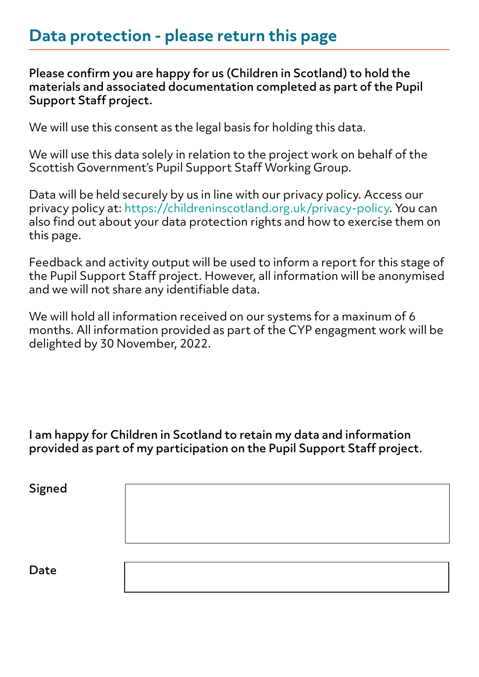## **Data protection - please return this page**

Please confirm you are happy for us (Children in Scotland) to hold the materials and associated documentation completed as part of the Pupil Support Staff project.

We will use this consent as the legal basis for holding this data.

We will use this data solely in relation to the project work on behalf of the Scottish Government's Pupil Support Staff Working Group.

Data will be held securely by us in line with our privacy policy. Access our privacy policy at: https://childreninscotland.org.uk/privacy-policy. You can also find out about your data protection rights and how to exercise them on this page.

Feedback and activity output will be used to inform a report for this stage of the Pupil Support Staff project. However, all information will be anonymised and we will not share any identifiable data.

We will hold all information received on our systems for a maxinum of 6 months. All information provided as part of the CYP engagment work will be delighted by 30 November, 2022.

I am happy for Children in Scotland to retain my data and information provided as part of my participation on the Pupil Support Staff project.

Signed

Date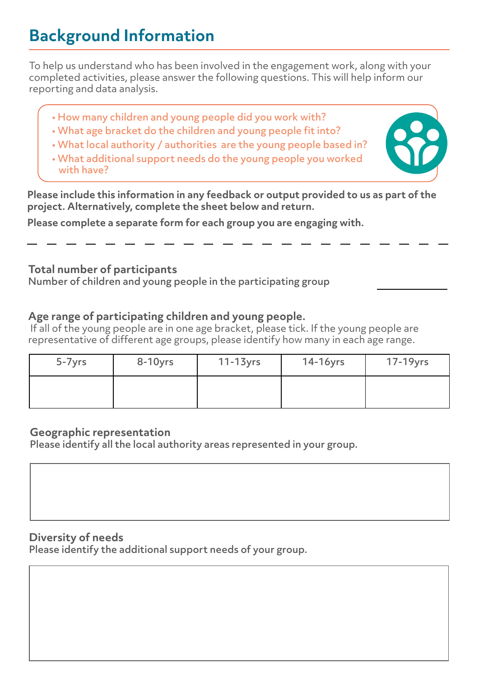# **Background Information**

To help us understand who has been involved in the engagement work, along with your completed activities, please answer the following questions. This will help inform our reporting and data analysis.

- How many children and young people did you work with?
- What age bracket do the children and young people fit into?
- What local authority / authorities are the young people based in?
- What additional support needs do the young people you worked with have?



**Please include this information in any feedback or output provided to us as part of the project. Alternatively, complete the sheet below and return.** 

**Please complete a separate form for each group you are engaging with.** 

#### **Total number of participants**

Number of children and young people in the participating group

#### **Age range of participating children and young people.**

If all of the young people are in one age bracket, please tick. If the young people are representative of different age groups, please identify how many in each age range.

| $5 - 7$ yrs | $8-10$ yrs | $11-13$ yrs | $14-16$ yrs | 17-19yrs |
|-------------|------------|-------------|-------------|----------|
|             |            |             |             |          |

#### **Geographic representation**

Please identify all the local authority areas represented in your group.

#### **Diversity of needs**

Please identify the additional support needs of your group.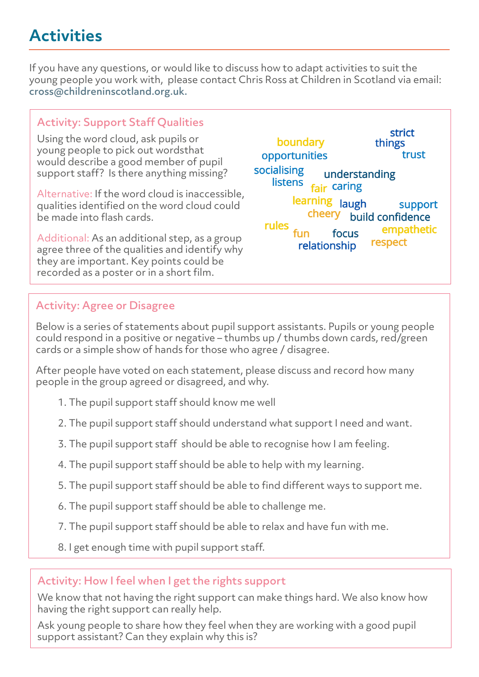# **Activities**

If you have any questions, or would like to discuss how to adapt activities to suit the young people you work with, please contact Chris Ross at Children in Scotland via email: cross@childreninscotland.org.uk.

#### Activity: Support Staff Qualities

Using the word cloud, ask pupils or young people to pick out wordsthat would describe a good member of pupil support staff? Is there anything missing?

Alternative: If the word cloud is inaccessible, qualities identified on the word cloud could be made into flash cards.

Additional: As an additional step, as a group agree three of the qualities and identify why they are important. Key points could be recorded as a poster or in a short film.

strict boundary things opportunities trust socialising understanding listens fair caring learning laugh support cheery build confidence rules empathetic fun focus respect relationship

### Activity: Agree or Disagree

Below is a series of statements about pupil support assistants. Pupils or young people could respond in a positive or negative – thumbs up / thumbs down cards, red/green cards or a simple show of hands for those who agree / disagree.

After people have voted on each statement, please discuss and record how many people in the group agreed or disagreed, and why.

- 1. The pupil support staff should know me well
- 2. The pupil support staff should understand what support I need and want.
- 3. The pupil support staff should be able to recognise how I am feeling.
- 4. The pupil support staff should be able to help with my learning.
- 5. The pupil support staff should be able to find different ways to support me.
- 6. The pupil support staff should be able to challenge me.
- 7. The pupil support staff should be able to relax and have fun with me.
- 8. I get enough time with pupil support staff.

#### Activity: How I feel when I get the rights support

We know that not having the right support can make things hard. We also know how having the right support can really help.

Ask young people to share how they feel when they are working with a good pupil support assistant? Can they explain why this is?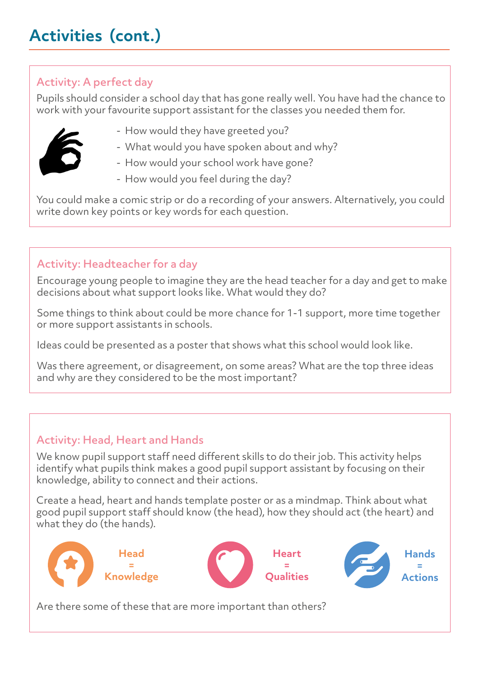## Activity: A perfect day

Pupils should consider a school day that has gone really well. You have had the chance to work with your favourite support assistant for the classes you needed them for.



- How would they have greeted you?
- What would you have spoken about and why?
- How would your school work have gone?
- How would you feel during the day?

You could make a comic strip or do a recording of your answers. Alternatively, you could write down key points or key words for each question.

## Activity: Headteacher for a day

Encourage young people to imagine they are the head teacher for a day and get to make decisions about what support looks like. What would they do?

Some things to think about could be more chance for 1-1 support, more time together or more support assistants in schools.

Ideas could be presented as a poster that shows what this school would look like.

Was there agreement, or disagreement, on some areas? What are the top three ideas and why are they considered to be the most important?

## Activity: Head, Heart and Hands

We know pupil support staff need different skills to do their job. This activity helps identify what pupils think makes a good pupil support assistant by focusing on their knowledge, ability to connect and their actions.

Create a head, heart and hands template poster or as a mindmap. Think about what good pupil support staff should know (the head), how they should act (the heart) and what they do (the hands).



Are there some of these that are more important than others?